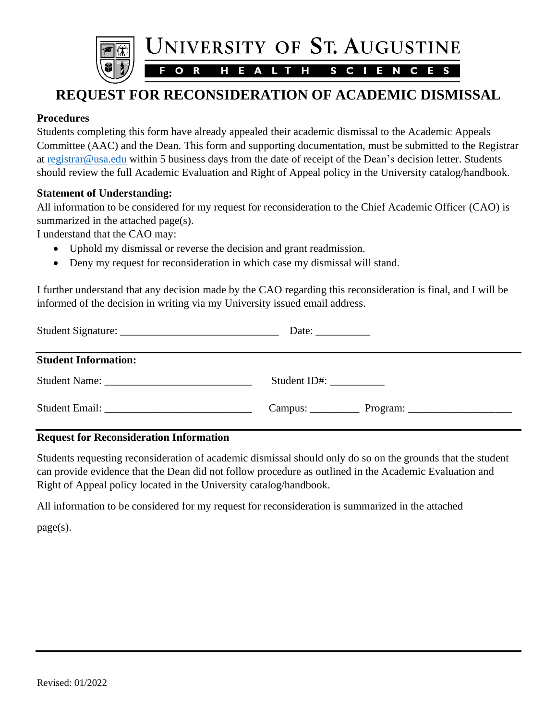

# **REQUEST FOR RECONSIDERATION OF ACADEMIC DISMISSAL**

## **Procedures**

Students completing this form have already appealed their academic dismissal to the Academic Appeals Committee (AAC) and the Dean. This form and supporting documentation, must be submitted to the Registrar at [registrar@usa.edu](mailto:registrar@usa.edu) within 5 business days from the date of receipt of the Dean's decision letter. Students should review the full Academic Evaluation and Right of Appeal policy in the University catalog/handbook.

#### **Statement of Understanding:**

All information to be considered for my request for reconsideration to the Chief Academic Officer (CAO) is summarized in the attached page(s).

I understand that the CAO may:

- Uphold my dismissal or reverse the decision and grant readmission.
- Deny my request for reconsideration in which case my dismissal will stand.

I further understand that any decision made by the CAO regarding this reconsideration is final, and I will be informed of the decision in writing via my University issued email address.

| <b>Student Information:</b>                                                                                                                                                                                                    |              |
|--------------------------------------------------------------------------------------------------------------------------------------------------------------------------------------------------------------------------------|--------------|
|                                                                                                                                                                                                                                | Student ID#: |
| Student Email: New York Student Contract of the Student Contract of the Student Contract of the Student Contract of the Student Contract of the Student Contract of the Student Contract of the Student Contract of the Studen |              |

#### **Request for Reconsideration Information**

Students requesting reconsideration of academic dismissal should only do so on the grounds that the student can provide evidence that the Dean did not follow procedure as outlined in the Academic Evaluation and Right of Appeal policy located in the University catalog/handbook.

All information to be considered for my request for reconsideration is summarized in the attached

page(s).